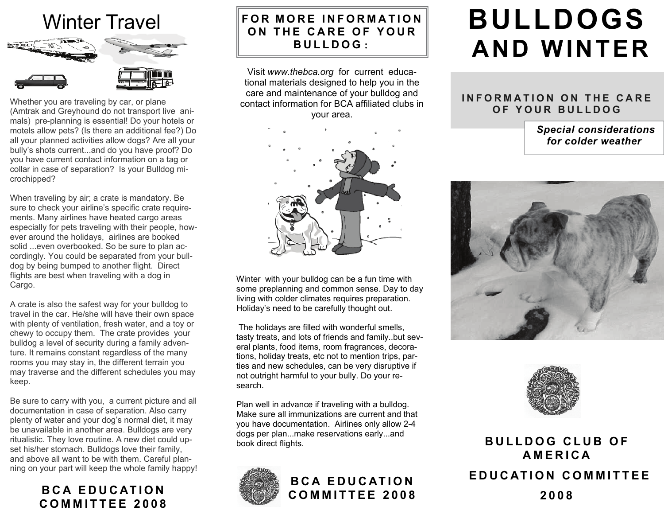## Winter Travel



Whether you are traveling by car, or plane (Amtrak and Greyhound do not transport live animals) pre-planning is essential! Do your hotels or motels allow pets? (Is there an additional fee?) Do all your planned activities allow dogs? Are all your bully's shots current...and do you have proof? Do you have current contact information on a tag or collar in case of separation? Is your Bulldog microchipped?

When traveling by air; a crate is mandatory. Be sure to check your airline's specific crate requirements. Many airlines have heated cargo areas especially for pets traveling with their people, however around the holidays, airlines are booked solid ...even overbooked. So be sure to plan accordingly. You could be separated from your bulldog by being bumped to another flight. Direct flights are best when traveling with a dog in Cargo.

A crate is also the safest way for your bulldog to travel in the car. He/she will have their own space with plenty of ventilation, fresh water, and a toy or chewy to occupy them. The crate provides your bulldog a level of security during a family adventure. It remains constant regardless of the many rooms you may stay in, the different terrain you may traverse and the different schedules you may keep.

Be sure to carry with you, a current picture and all documentation in case of separation. Also carry plenty of water and your dog's normal diet, it may be unavailable in another area. Bulldogs are very ritualistic. They love routine. A new diet could upset his/her stomach. Bulldogs love their family, and above all want to be with them. Careful planning on your part will keep the whole family happy!

## **BCA EDUCATION COMMITTEE 2008**

## **FOR MORE INFORMATION ON THE CARE OF YOUR BULLDOG :**

Visit *www.thebca.org* for current educational materials designed to help you in the care and maintenance of your bulldog and contact information for BCA affiliated clubs in your area.



Winter with your bulldog can be a fun time with some preplanning and common sense. Day to day living with colder climates requires preparation. Holiday's need to be carefully thought out.

 The holidays are filled with wonderful smells, tasty treats, and lots of friends and family..but several plants, food items, room fragrances, decorations, holiday treats, etc not to mention trips, parties and new schedules, can be very disruptive if not outright harmful to your bully. Do your research.

Plan well in advance if traveling with a bulldog. Make sure all immunizations are current and that you have documentation. Airlines only allow 2-4 dogs per plan...make reservations early...and book direct flights.



## **BCA EDUCATION COMMITTEE 2008**

# **BULLDOGS AND WINTER**

## **INFORMATION ON THE CARE OF YOUR BULLDOG**

*Special considerations for colder weather*





**BULLDOG CLUB OF AMERICA EDUCATION COMMITTEE 2008**